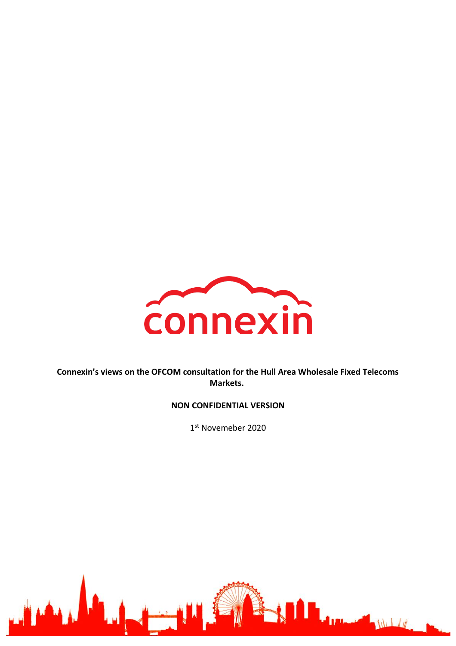

**Connexin's views on the OFCOM consultation for the Hull Area Wholesale Fixed Telecoms Markets.**

## **NON CONFIDENTIAL VERSION**

1 st Novemeber 2020

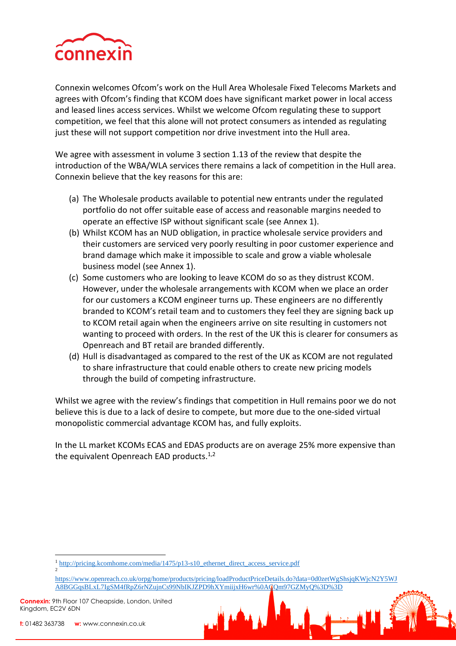

Connexin welcomes Ofcom's work on the Hull Area Wholesale Fixed Telecoms Markets and agrees with Ofcom's finding that KCOM does have significant market power in local access and leased lines access services. Whilst we welcome Ofcom regulating these to support competition, we feel that this alone will not protect consumers as intended as regulating just these will not support competition nor drive investment into the Hull area.

We agree with assessment in volume 3 section 1.13 of the review that despite the introduction of the WBA/WLA services there remains a lack of competition in the Hull area. Connexin believe that the key reasons for this are:

- (a) The Wholesale products available to potential new entrants under the regulated portfolio do not offer suitable ease of access and reasonable margins needed to operate an effective ISP without significant scale (see Annex 1).
- (b) Whilst KCOM has an NUD obligation, in practice wholesale service providers and their customers are serviced very poorly resulting in poor customer experience and brand damage which make it impossible to scale and grow a viable wholesale business model (see Annex 1).
- (c) Some customers who are looking to leave KCOM do so as they distrust KCOM. However, under the wholesale arrangements with KCOM when we place an order for our customers a KCOM engineer turns up. These engineers are no differently branded to KCOM's retail team and to customers they feel they are signing back up to KCOM retail again when the engineers arrive on site resulting in customers not wanting to proceed with orders. In the rest of the UK this is clearer for consumers as Openreach and BT retail are branded differently.
- (d) Hull is disadvantaged as compared to the rest of the UK as KCOM are not regulated to share infrastructure that could enable others to create new pricing models through the build of competing infrastructure.

Whilst we agree with the review's findings that competition in Hull remains poor we do not believe this is due to a lack of desire to compete, but more due to the one-sided virtual monopolistic commercial advantage KCOM has, and fully exploits.

In the LL market KCOMs ECAS and EDAS products are on average 25% more expensive than the equivalent Openreach EAD products.<sup>1,2</sup>

**Connexin:** 9th Floor 107 Cheapside, London, United Kingdom, EC2V 6DN

<sup>&</sup>lt;sup>1</sup> [http://pricing.kcomhome.com/media/1475/p13-s10\\_ethernet\\_direct\\_access\\_service.pdf](http://pricing.kcomhome.com/media/1475/p13-s10_ethernet_direct_access_service.pdf)  $\overline{2}$ 

[https://www.openreach.co.uk/orpg/home/products/pricing/loadProductPriceDetails.do?data=0d0zetWgShsjqKWjcN2Y5WJ](https://www.openreach.co.uk/orpg/home/products/pricing/loadProductPriceDetails.do?data=0d0zetWgShsjqKWjcN2Y5WJA8BGGqsBLxL7IgSM4fRpZ6rNZujnCs99NbIKJZPD9hXYmiijxH6wr%0ACQm97GZMyQ%3D%3D) [A8BGGqsBLxL7IgSM4fRpZ6rNZujnCs99NbIKJZPD9hXYmiijxH6wr%0ACQm97GZMyQ%3D%3D](https://www.openreach.co.uk/orpg/home/products/pricing/loadProductPriceDetails.do?data=0d0zetWgShsjqKWjcN2Y5WJA8BGGqsBLxL7IgSM4fRpZ6rNZujnCs99NbIKJZPD9hXYmiijxH6wr%0ACQm97GZMyQ%3D%3D)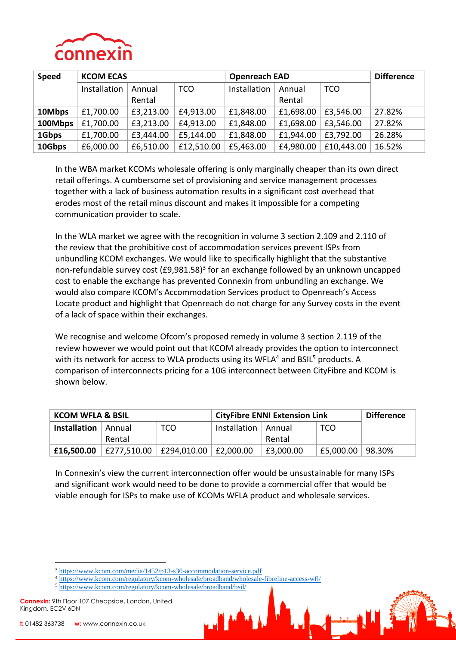

| <b>Speed</b> | <b>KCOM ECAS</b> |           |            | <b>Openreach EAD</b> |           |            | <b>Difference</b> |
|--------------|------------------|-----------|------------|----------------------|-----------|------------|-------------------|
|              | Installation     | Annual    | <b>TCO</b> | Installation         | Annual    | <b>TCO</b> |                   |
|              |                  | Rental    |            |                      | Rental    |            |                   |
| 10Mbps       | £1,700.00        | £3,213.00 | £4,913.00  | £1,848.00            | £1,698.00 | £3,546.00  | 27.82%            |
| 100Mbps      | £1,700.00        | £3,213.00 | £4,913.00  | £1,848.00            | £1,698.00 | £3,546.00  | 27.82%            |
| 1Gbps        | £1,700.00        | £3,444.00 | £5,144.00  | £1,848.00            | £1,944.00 | £3,792.00  | 26.28%            |
| 10Gbps       | £6,000.00        | £6,510.00 | £12,510.00 | £5,463.00            | £4,980.00 | £10,443.00 | 16.52%            |

In the WBA market KCOMs wholesale offering is only marginally cheaper than its own direct retail offerings. A cumbersome set of provisioning and service management processes together with a lack of business automation results in a significant cost overhead that erodes most of the retail minus discount and makes it impossible for a competing communication provider to scale.

In the WLA market we agree with the recognition in volume 3 section 2.109 and 2.110 of the review that the prohibitive cost of accommodation services prevent ISPs from unbundling KCOM exchanges. We would like to specifically highlight that the substantive non-refundable survey cost (£9,981.58)<sup>3</sup> for an exchange followed by an unknown uncapped cost to enable the exchange has prevented Connexin from unbundling an exchange. We would also compare KCOM's Accommodation Services product to Openreach's Access Locate product and highlight that Openreach do not charge for any Survey costs in the event of a lack of space within their exchanges.

We recognise and welcome Ofcom's proposed remedy in volume 3 section 2.119 of the review however we would point out that KCOM already provides the option to interconnect with its network for access to WLA products using its WFLA<sup>4</sup> and BSIL<sup>5</sup> products. A comparison of interconnects pricing for a 10G interconnect between CityFibre and KCOM is shown below.

| <b>KCOM WFLA &amp; BSIL</b>  |             |             | <b>CityFibre ENNI Extension Link</b> | <b>Difference</b> |           |        |
|------------------------------|-------------|-------------|--------------------------------------|-------------------|-----------|--------|
| <b>Installation</b>   Annual |             | TCO         | Installation   Annual                |                   | TCO       |        |
|                              | Rental      |             |                                      | Rental            |           |        |
| £16,500.00                   | £277,510.00 | £294,010.00 | £2,000.00                            | £3,000.00         | £5,000.00 | 98.30% |

In Connexin's view the current interconnection offer would be unsustainable for many ISPs and significant work would need to be done to provide a commercial offer that would be viable enough for ISPs to make use of KCOMs WFLA product and wholesale services.

**Connexin:** 9th Floor 107 Cheapside, London, United Kingdom, EC2V 6DN

<sup>3</sup> <https://www.kcom.com/media/1452/p13-s30-accommodation-service.pdf>

<sup>4</sup> <https://www.kcom.com/regulatory/kcom-wholesale/broadband/wholesale-fibreline-access-wfl/>

<sup>5</sup> <https://www.kcom.com/regulatory/kcom-wholesale/broadband/bsil/>